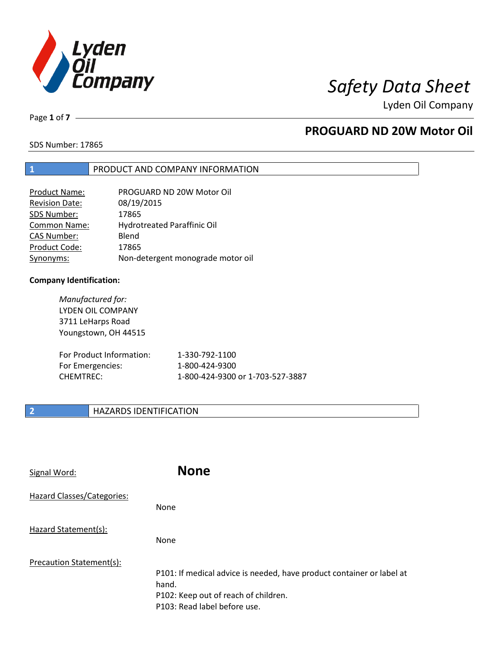

Page **1** of **7**

# **PROGUARD ND 20W Motor Oil**

SDS Number: 17865

# **1** PRODUCT AND COMPANY INFORMATION

| <b>Product Name:</b>  | PROGUARD ND 20W Motor Oil         |
|-----------------------|-----------------------------------|
| <b>Revision Date:</b> | 08/19/2015                        |
| SDS Number:           | 17865                             |
| Common Name:          | Hydrotreated Paraffinic Oil       |
| <b>CAS Number:</b>    | Blend                             |
| Product Code:         | 17865                             |
| Synonyms:             | Non-detergent monograde motor oil |

## **Company Identification:**

*Manufactured for:* LYDEN OIL COMPANY 3711 LeHarps Road Youngstown, OH 44515 For Product Information: 1-330-792-1100 For Emergencies: 1-800-424-9300 CHEMTREC: 1-800-424-9300 or 1-703-527-3887

# **2 HAZARDS IDENTIFICATION**

| Signal Word:               | <b>None</b>                                                                                                                                            |
|----------------------------|--------------------------------------------------------------------------------------------------------------------------------------------------------|
| Hazard Classes/Categories: | None                                                                                                                                                   |
| Hazard Statement(s):       | None                                                                                                                                                   |
| Precaution Statement(s):   | P101: If medical advice is needed, have product container or label at<br>hand.<br>P102: Keep out of reach of children.<br>P103: Read label before use. |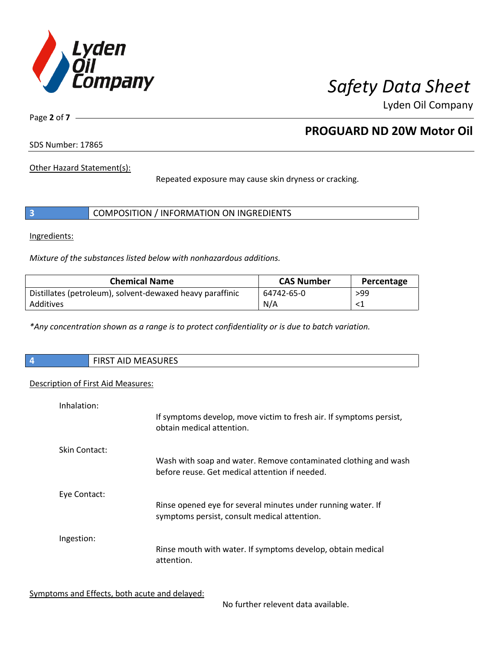

Page **2** of **7**

# **PROGUARD ND 20W Motor Oil**

SDS Number: 17865

Other Hazard Statement(s):

Repeated exposure may cause skin dryness or cracking.

|  | COMPOSITION / INFORMATION ON INGREDIENTS |
|--|------------------------------------------|
|--|------------------------------------------|

Ingredients:

*Mixture of the substances listed below with nonhazardous additions.*

| <b>Chemical Name</b>                                      | <b>CAS Number</b> | Percentage |
|-----------------------------------------------------------|-------------------|------------|
| Distillates (petroleum), solvent-dewaxed heavy paraffinic | 64742-65-0        | >99        |
| Additives                                                 | N/A               |            |

*\*Any concentration shown as a range is to protect confidentiality or is due to batch variation.*

| $\vert$ 4 | <b>MEASURES</b><br>, FIRST<br>AIL |
|-----------|-----------------------------------|
|           |                                   |

# Description of First Aid Measures:

| Inhalation:          | If symptoms develop, move victim to fresh air. If symptoms persist,<br>obtain medical attention.                  |
|----------------------|-------------------------------------------------------------------------------------------------------------------|
| <b>Skin Contact:</b> | Wash with soap and water. Remove contaminated clothing and wash<br>before reuse. Get medical attention if needed. |
| Eye Contact:         | Rinse opened eye for several minutes under running water. If<br>symptoms persist, consult medical attention.      |
| Ingestion:           | Rinse mouth with water. If symptoms develop, obtain medical<br>attention.                                         |

Symptoms and Effects, both acute and delayed:

No further relevent data available.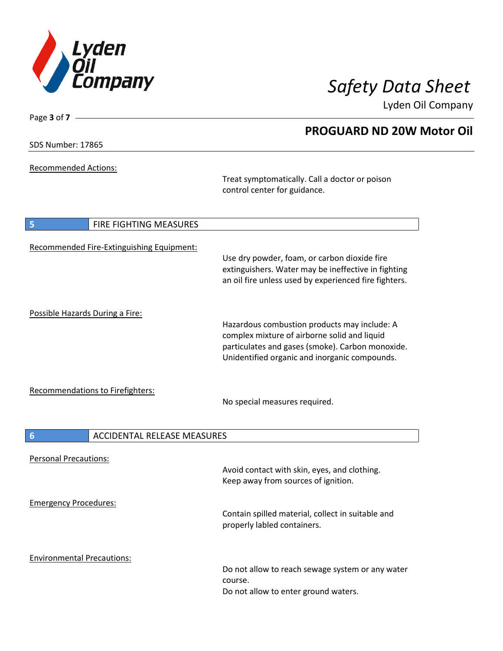

**PROGUARD ND 20W Motor Oil**

Lyden Oil Company

SDS Number: 17865

Page **3** of **7**

Recommended Actions:

Treat symptomatically. Call a doctor or poison control center for guidance.

| 5                               | <b>FIRE FIGHTING MEASURES</b>             |                                                                                                                                                                                                   |
|---------------------------------|-------------------------------------------|---------------------------------------------------------------------------------------------------------------------------------------------------------------------------------------------------|
|                                 | Recommended Fire-Extinguishing Equipment: | Use dry powder, foam, or carbon dioxide fire<br>extinguishers. Water may be ineffective in fighting<br>an oil fire unless used by experienced fire fighters.                                      |
| Possible Hazards During a Fire: |                                           | Hazardous combustion products may include: A<br>complex mixture of airborne solid and liquid<br>particulates and gases (smoke). Carbon monoxide.<br>Unidentified organic and inorganic compounds. |
|                                 | <b>Recommendations to Firefighters:</b>   | No special measures required.                                                                                                                                                                     |
| $6\phantom{1}6$                 | <b>ACCIDENTAL RELEASE MEASURES</b>        |                                                                                                                                                                                                   |
| <b>Personal Precautions:</b>    |                                           | Avoid contact with skin, eyes, and clothing.<br>Keep away from sources of ignition.                                                                                                               |
|                                 |                                           |                                                                                                                                                                                                   |
| <b>Emergency Procedures:</b>    |                                           | Contain spilled material, collect in suitable and<br>properly labled containers.                                                                                                                  |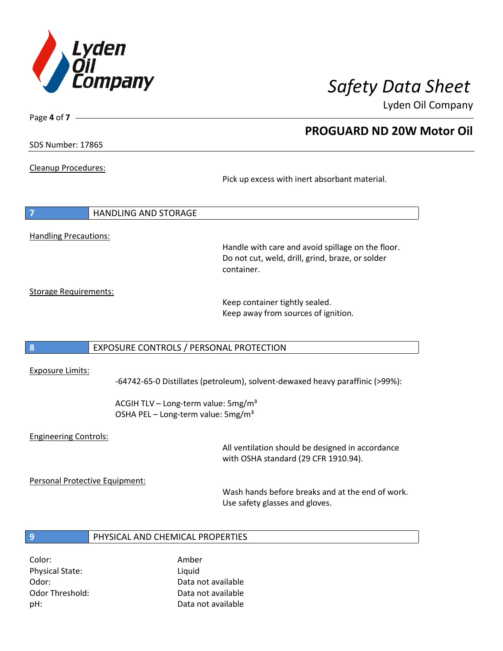

**PROGUARD ND 20W Motor Oil**

Lyden Oil Company

SDS Number: 17865

Page **4** of **7**

Cleanup Procedures:

Pick up excess with inert absorbant material.

**7** HANDLING AND STORAGE Handling Precautions:

Handle with care and avoid spillage on the floor. Do not cut, weld, drill, grind, braze, or solder container.

Storage Requirements:

Keep container tightly sealed. Keep away from sources of ignition.

# **8** EXPOSURE CONTROLS / PERSONAL PROTECTION

## Exposure Limits:

-64742-65-0 Distillates (petroleum), solvent-dewaxed heavy paraffinic (>99%):

ACGIH TLV – Long-term value:  $5mg/m<sup>3</sup>$ OSHA PEL - Long-term value: 5mg/m<sup>3</sup>

# Engineering Controls:

All ventilation should be designed in accordance with OSHA standard (29 CFR 1910.94).

Personal Protective Equipment:

Wash hands before breaks and at the end of work. Use safety glasses and gloves.

## **9** PHYSICAL AND CHEMICAL PROPERTIES

Color: Amber Physical State: Liquid

Odor: Data not available Odor Threshold: Data not available pH: Data not available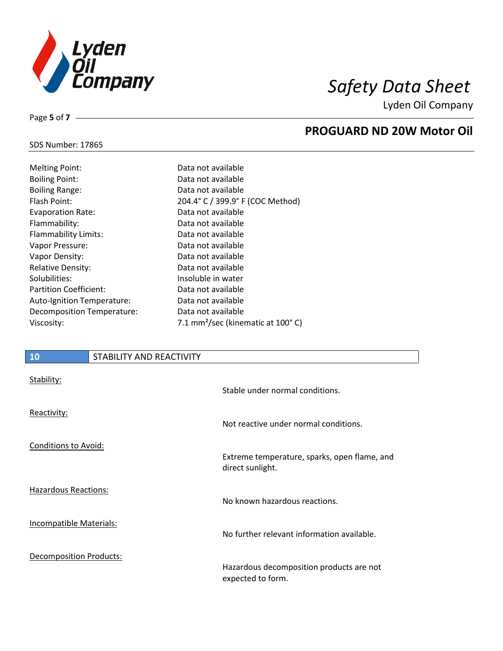

Page **5** of **7**

# **PROGUARD ND 20W Motor Oil**

## SDS Number: 17865

| Data not available                                      |
|---------------------------------------------------------|
| Data not available                                      |
| Data not available                                      |
| 204.4° C / 399.9° F (COC Method)                        |
| Data not available                                      |
| Data not available                                      |
| Data not available                                      |
| Data not available                                      |
| Data not available                                      |
| Data not available                                      |
| Insoluble in water                                      |
| Data not available                                      |
| Data not available                                      |
| Data not available                                      |
| 7.1 mm <sup>2</sup> /sec (kinematic at $100^{\circ}$ C) |
|                                                         |

# **10** STABILITY AND REACTIVITY

| Stability:                     | Stable under normal conditions.                                  |
|--------------------------------|------------------------------------------------------------------|
| Reactivity:                    | Not reactive under normal conditions.                            |
| <b>Conditions to Avoid:</b>    | Extreme temperature, sparks, open flame, and<br>direct sunlight. |
| <b>Hazardous Reactions:</b>    | No known hazardous reactions.                                    |
| <b>Incompatible Materials:</b> | No further relevant information available.                       |
| <b>Decomposition Products:</b> | Hazardous decomposition products are not<br>expected to form.    |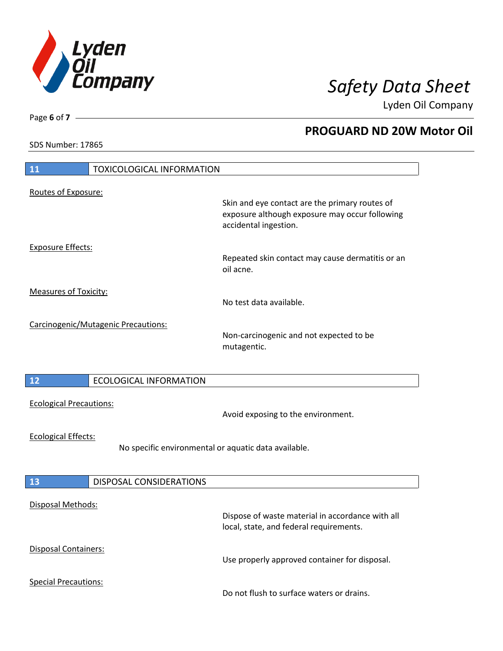

**PROGUARD ND 20W Motor Oil**

Lyden Oil Company

SDS Number: 17865

# **11** TOXICOLOGICAL INFORMATION Routes of Exposure: Skin and eye contact are the primary routes of exposure although exposure may occur following accidental ingestion. Exposure Effects: Repeated skin contact may cause dermatitis or an oil acne. Measures of Toxicity: No test data available. Carcinogenic/Mutagenic Precautions: Non-carcinogenic and not expected to be mutagentic. **12** ECOLOGICAL INFORMATION Ecological Precautions: Avoid exposing to the environment. Ecological Effects: No specific environmental or aquatic data available. **13** DISPOSAL CONSIDERATIONS Disposal Methods: Dispose of waste material in accordance with all local, state, and federal requirements. Disposal Containers: Use properly approved container for disposal. Special Precautions: Do not flush to surface waters or drains.

Page **6** of **7**